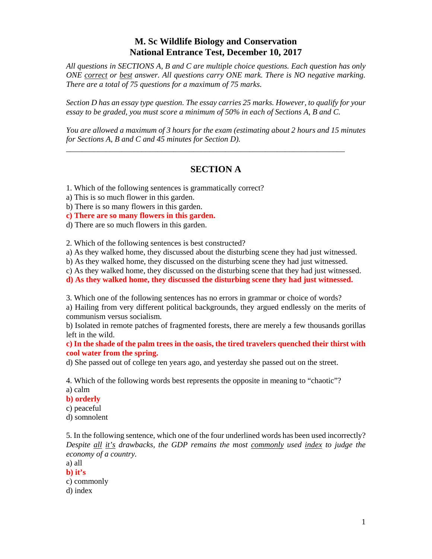## **M. Sc Wildlife Biology and Conservation National Entrance Test, December 10, 2017**

*All questions in SECTIONS A, B and C are multiple choice questions. Each question has only ONE correct or best answer. All questions carry ONE mark. There is NO negative marking. There are a total of 75 questions for a maximum of 75 marks.* 

*Section D has an essay type question. The essay carries 25 marks. However, to qualify for your essay to be graded, you must score a minimum of 50% in each of Sections A, B and C.* 

*You are allowed a maximum of 3 hours for the exam (estimating about 2 hours and 15 minutes for Sections A, B and C and 45 minutes for Section D).* 

*\_\_\_\_\_\_\_\_\_\_\_\_\_\_\_\_\_\_\_\_\_\_\_\_\_\_\_\_\_\_\_\_\_\_\_\_\_\_\_\_\_\_\_\_\_\_\_\_\_\_\_\_\_\_\_\_\_\_\_\_\_\_\_\_\_\_\_\_\_\_* 

## **SECTION A**

1. Which of the following sentences is grammatically correct?

a) This is so much flower in this garden.

b) There is so many flowers in this garden.

**c) There are so many flowers in this garden.** 

d) There are so much flowers in this garden.

2. Which of the following sentences is best constructed?

a) As they walked home, they discussed about the disturbing scene they had just witnessed.

b) As they walked home, they discussed on the disturbing scene they had just witnessed.

c) As they walked home, they discussed on the disturbing scene that they had just witnessed.

**d) As they walked home, they discussed the disturbing scene they had just witnessed.** 

3. Which one of the following sentences has no errors in grammar or choice of words?

a) Hailing from very different political backgrounds, they argued endlessly on the merits of communism versus socialism.

b) Isolated in remote patches of fragmented forests, there are merely a few thousands gorillas left in the wild.

**c) In the shade of the palm trees in the oasis, the tired travelers quenched their thirst with cool water from the spring.** 

d) She passed out of college ten years ago, and yesterday she passed out on the street.

4. Which of the following words best represents the opposite in meaning to "chaotic"?

a) calm

#### **b) orderly**

c) peaceful

d) somnolent

5. In the following sentence, which one of the four underlined words has been used incorrectly? *Despite all it's drawbacks, the GDP remains the most commonly used index to judge the economy of a country.*

a) all

**b) it's**  c) commonly d) index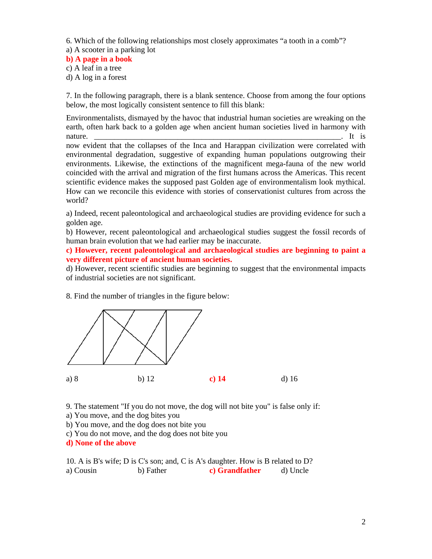6. Which of the following relationships most closely approximates "a tooth in a comb"?

a) A scooter in a parking lot

## **b) A page in a book**

- c) A leaf in a tree
- d) A log in a forest

7. In the following paragraph, there is a blank sentence. Choose from among the four options below, the most logically consistent sentence to fill this blank:

Environmentalists, dismayed by the havoc that industrial human societies are wreaking on the earth, often hark back to a golden age when ancient human societies lived in harmony with nature. \_\_\_\_\_\_\_\_\_\_\_\_\_\_\_\_\_\_\_\_\_\_\_\_\_\_\_\_\_\_\_\_\_\_\_\_\_\_\_\_\_\_\_\_\_\_\_\_\_\_\_\_\_\_\_\_\_\_\_\_\_\_. It is

now evident that the collapses of the Inca and Harappan civilization were correlated with environmental degradation, suggestive of expanding human populations outgrowing their environments. Likewise, the extinctions of the magnificent mega-fauna of the new world coincided with the arrival and migration of the first humans across the Americas. This recent scientific evidence makes the supposed past Golden age of environmentalism look mythical. How can we reconcile this evidence with stories of conservationist cultures from across the world?

a) Indeed, recent paleontological and archaeological studies are providing evidence for such a golden age.

b) However, recent paleontological and archaeological studies suggest the fossil records of human brain evolution that we had earlier may be inaccurate.

**c) However, recent paleontological and archaeological studies are beginning to paint a very different picture of ancient human societies.** 

d) However, recent scientific studies are beginning to suggest that the environmental impacts of industrial societies are not significant.

8. Find the number of triangles in the figure below:



9. The statement "If you do not move, the dog will not bite you" is false only if:

a) You move, and the dog bites you

- b) You move, and the dog does not bite you
- c) You do not move, and the dog does not bite you

**d) None of the above** 

10. A is B's wife; D is C's son; and, C is A's daughter. How is B related to D? a) Cousin b) Father **c) Grandfather** d) Uncle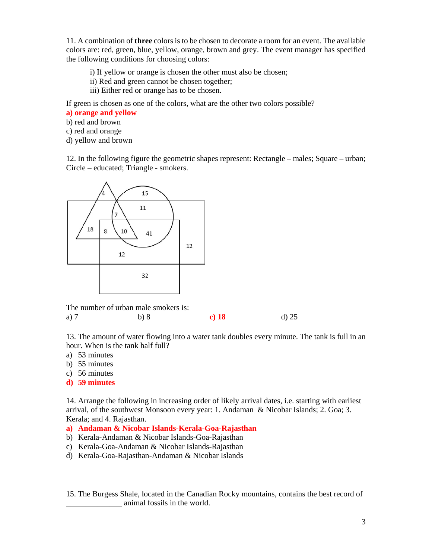11. A combination of **three** colors is to be chosen to decorate a room for an event. The available colors are: red, green, blue, yellow, orange, brown and grey. The event manager has specified the following conditions for choosing colors:

- i) If yellow or orange is chosen the other must also be chosen;
- ii) Red and green cannot be chosen together;
- iii) Either red or orange has to be chosen.

If green is chosen as one of the colors, what are the other two colors possible?

- **a) orange and yellow**
- b) red and brown
- c) red and orange
- d) yellow and brown

12. In the following figure the geometric shapes represent: Rectangle – males; Square – urban; Circle – educated; Triangle - smokers.



13. The amount of water flowing into a water tank doubles every minute. The tank is full in an hour. When is the tank half full?

- a) 53 minutes
- b) 55 minutes
- c) 56 minutes
- **d) 59 minutes**

14. Arrange the following in increasing order of likely arrival dates, i.e. starting with earliest arrival, of the southwest Monsoon every year: 1. Andaman & Nicobar Islands; 2. Goa; 3. Kerala; and 4. Rajasthan.

#### **a) Andaman & Nicobar Islands-Kerala-Goa-Rajasthan**

- b) Kerala-Andaman & Nicobar Islands-Goa-Rajasthan
- c) Kerala-Goa-Andaman & Nicobar Islands-Rajasthan
- d) Kerala-Goa-Rajasthan-Andaman & Nicobar Islands

15. The Burgess Shale, located in the Canadian Rocky mountains, contains the best record of \_\_\_\_\_\_\_\_\_\_\_\_\_\_ animal fossils in the world.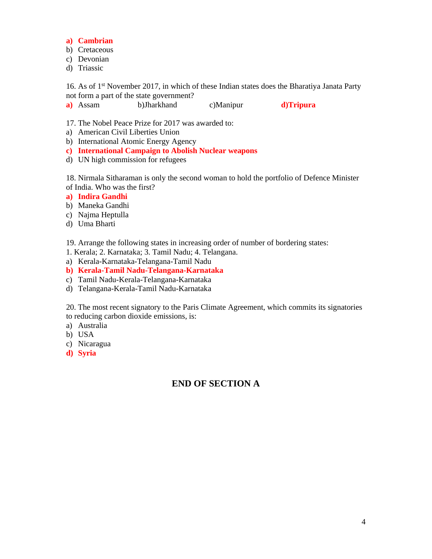#### **a) Cambrian**

- b) Cretaceous
- c) Devonian
- d) Triassic

16. As of 1<sup>st</sup> November 2017, in which of these Indian states does the Bharatiya Janata Party not form a part of the state government?

**a)** Assam b)Jharkhand c)Manipur **d)Tripura** 

17. The Nobel Peace Prize for 2017 was awarded to:

- a) American Civil Liberties Union
- b) International Atomic Energy Agency
- **c) International Campaign to Abolish Nuclear weapons**
- d) UN high commission for refugees

18. Nirmala Sitharaman is only the second woman to hold the portfolio of Defence Minister of India. Who was the first?

- **a) Indira Gandhi**
- b) Maneka Gandhi
- c) Najma Heptulla
- d) Uma Bharti
- 19. Arrange the following states in increasing order of number of bordering states:
- 1. Kerala; 2. Karnataka; 3. Tamil Nadu; 4. Telangana.
- a) Kerala-Karnataka-Telangana-Tamil Nadu
- **b) Kerala-Tamil Nadu-Telangana-Karnataka**
- c) Tamil Nadu-Kerala-Telangana-Karnataka
- d) Telangana-Kerala-Tamil Nadu-Karnataka

20. The most recent signatory to the Paris Climate Agreement, which commits its signatories to reducing carbon dioxide emissions, is:

- a) Australia
- b) USA
- c) Nicaragua
- **d) Syria**

# **END OF SECTION A**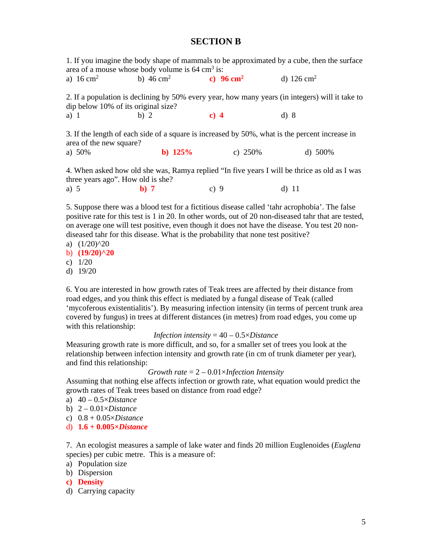#### **SECTION B**

|                                                                                                                                        | area of a mouse whose body volume is $64 \text{ cm}^3$ is: |                       | 1. If you imagine the body shape of mammals to be approximated by a cube, then the surface     |  |
|----------------------------------------------------------------------------------------------------------------------------------------|------------------------------------------------------------|-----------------------|------------------------------------------------------------------------------------------------|--|
| a) $16 \text{ cm}^2$                                                                                                                   | b) $46 \text{ cm}^2$                                       | c) 96 cm <sup>2</sup> | d) $126 \text{ cm}^2$                                                                          |  |
| 2. If a population is declining by 50% every year, how many years (in integers) will it take to<br>dip below 10% of its original size? |                                                            |                       |                                                                                                |  |
| a) $1$                                                                                                                                 | b) $2$                                                     | c) $4$                | d)8                                                                                            |  |
| area of the new square?                                                                                                                |                                                            |                       | 3. If the length of each side of a square is increased by 50%, what is the percent increase in |  |
| a) $50\%$                                                                                                                              | b) $125%$                                                  | c) $250\%$            | d) 500%                                                                                        |  |
| 4. When asked how old she was, Ramya replied "In five years I will be thrice as old as I was<br>three years ago". How old is she?      |                                                            |                       |                                                                                                |  |

a) 5 **b) 7** c) 9 d) 11

5. Suppose there was a blood test for a fictitious disease called 'tahr acrophobia'. The false positive rate for this test is 1 in 20. In other words, out of 20 non-diseased tahr that are tested, on average one will test positive, even though it does not have the disease. You test 20 nondiseased tahr for this disease. What is the probability that none test positive?

- a)  $(1/20)^{20}$
- b) **(19/20)^20**
- c) 1/20
- d) 19/20

6. You are interested in how growth rates of Teak trees are affected by their distance from road edges, and you think this effect is mediated by a fungal disease of Teak (called 'mycoferous existentialitis'). By measuring infection intensity (in terms of percent trunk area covered by fungus) in trees at different distances (in metres) from road edges, you come up with this relationship:

#### *Infection intensity* = 40 – 0.5×*Distance*

Measuring growth rate is more difficult, and so, for a smaller set of trees you look at the relationship between infection intensity and growth rate (in cm of trunk diameter per year), and find this relationship:

#### *Growth rate* = 2 – 0.01×*Infection Intensity*

Assuming that nothing else affects infection or growth rate, what equation would predict the growth rates of Teak trees based on distance from road edge?

- a) 40 0.5×*Distance*
- b) 2 0.01×*Distance*
- c) 0.8 + 0.05×*Distance*
- d) **1.6 + 0.005×***Distance*

7. An ecologist measures a sample of lake water and finds 20 million Euglenoides (*Euglena* species) per cubic metre. This is a measure of:

- a) Population size
- b) Dispersion
- **c) Density**
- d) Carrying capacity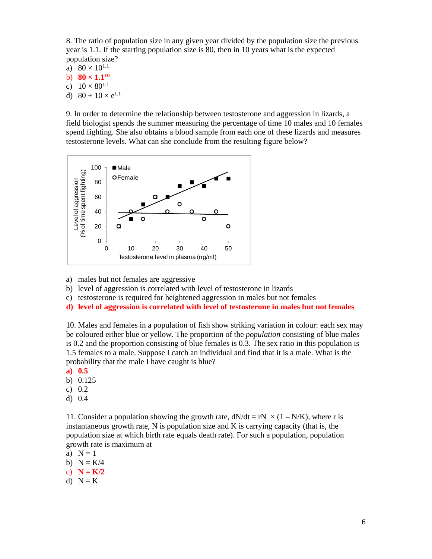8. The ratio of population size in any given year divided by the population size the previous year is 1.1. If the starting population size is 80, then in 10 years what is the expected population size?

a)  $80 \times 10^{1.1}$ 

- b)  $80 \times 1.1^{10}$
- c)  $10 \times 80^{1.1}$
- d)  $80 + 10 \times e^{1.1}$

9. In order to determine the relationship between testosterone and aggression in lizards, a field biologist spends the summer measuring the percentage of time 10 males and 10 females spend fighting. She also obtains a blood sample from each one of these lizards and measures testosterone levels. What can she conclude from the resulting figure below?



- a) males but not females are aggressive
- b) level of aggression is correlated with level of testosterone in lizards
- c) testosterone is required for heightened aggression in males but not females
- **d) level of aggression is correlated with level of testosterone in males but not females**

10. Males and females in a population of fish show striking variation in colour: each sex may be coloured either blue or yellow. The proportion of the *population* consisting of blue males is 0.2 and the proportion consisting of blue females is 0.3. The sex ratio in this population is 1.5 females to a male. Suppose I catch an individual and find that it is a male. What is the probability that the male I have caught is blue?

- **a) 0.5**
- b) 0.125
- c) 0.2
- d) 0.4

11. Consider a population showing the growth rate,  $dN/dt = rN \times (1 - N/K)$ , where r is instantaneous growth rate,  $N$  is population size and  $K$  is carrying capacity (that is, the population size at which birth rate equals death rate). For such a population, population growth rate is maximum at

- a)  $N = 1$
- b)  $N = K/4$
- c)  $N = K/2$
- d)  $N = K$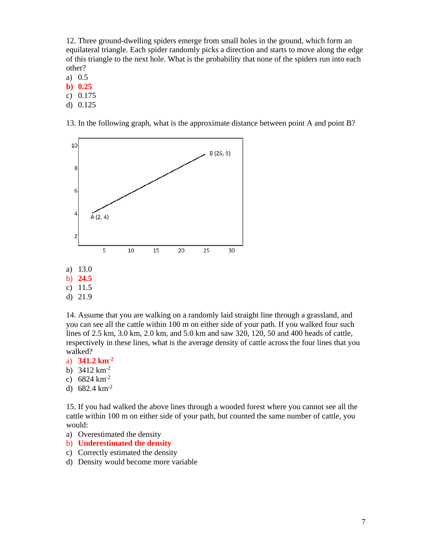12. Three ground-dwelling spiders emerge from small holes in the ground, which form an equilateral triangle. Each spider randomly picks a direction and starts to move along the edge of this triangle to the next hole. What is the probability that none of the spiders run into each other?

a) 0.5

**b) 0.25** 

c) 0.175

d) 0.125

13. In the following graph, what is the approximate distance between point A and point B?



c) 11.5

d) 21.9

14. Assume that you are walking on a randomly laid straight line through a grassland, and you can see all the cattle within 100 m on either side of your path. If you walked four such lines of 2.5 km, 3.0 km, 2.0 km, and 5.0 km and saw 320, 120, 50 and 400 heads of cattle, respectively in these lines, what is the average density of cattle across the four lines that you walked?

- a) **341.2 km-2**
- b) 3412 km-2
- c)  $6824 \text{ km}^{-2}$
- d) 682.4 km-2

15. If you had walked the above lines through a wooded forest where you cannot see all the cattle within 100 m on either side of your path, but counted the same number of cattle, you would:

- a) Overestimated the density
- b) **Underestimated the density**
- c) Correctly estimated the density
- d) Density would become more variable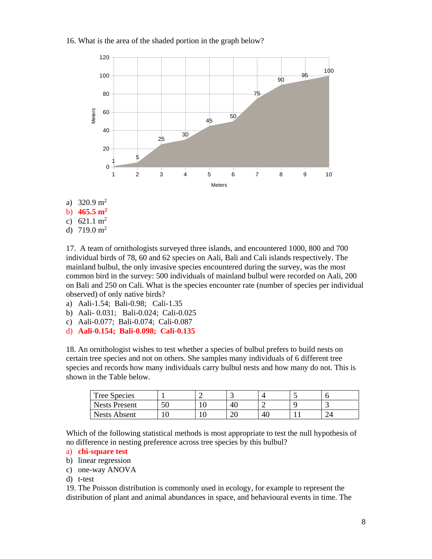#### 16. What is the area of the shaded portion in the graph below?



- a)  $320.9 \text{ m}^2$
- b) **465.5 m2**
- c)  $621.1 \text{ m}^2$

d)  $719.0 \text{ m}^2$ 

17. A team of ornithologists surveyed three islands, and encountered 1000, 800 and 700 individual birds of 78, 60 and 62 species on Aali, Bali and Cali islands respectively. The mainland bulbul, the only invasive species encountered during the survey, was the most common bird in the survey: 500 individuals of mainland bulbul were recorded on Aali, 200 on Bali and 250 on Cali. What is the species encounter rate (number of species per individual observed) of only native birds?

- a) Aali-1.54; Bali-0.98; Cali-1.35
- b) Aali- 0.031; Bali-0.024; Cali-0.025
- c) Aali-0.077; Bali-0.074; Cali-0.087
- d) **Aali-0.154; Bali-0.098; Cali-0.135**

18. An ornithologist wishes to test whether a species of bulbul prefers to build nests on certain tree species and not on others. She samples many individuals of 6 different tree species and records how many individuals carry bulbul nests and how many do not. This is shown in the Table below.

| Tree Species         |    | . . |    |    |
|----------------------|----|-----|----|----|
| <b>Nests Present</b> | ςr | 40  |    |    |
| Nests Absent         |    | ້   | 40 | -- |

Which of the following statistical methods is most appropriate to test the null hypothesis of no difference in nesting preference across tree species by this bulbul?

## a) **chi-square test**

- b) linear regression
- c) one-way ANOVA
- d) t-test

19. The Poisson distribution is commonly used in ecology, for example to represent the distribution of plant and animal abundances in space, and behavioural events in time. The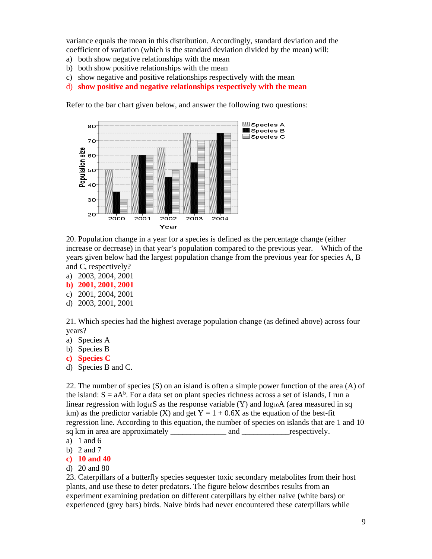variance equals the mean in this distribution. Accordingly, standard deviation and the coefficient of variation (which is the standard deviation divided by the mean) will:

- a) both show negative relationships with the mean
- b) both show positive relationships with the mean
- c) show negative and positive relationships respectively with the mean
- d) **show positive and negative relationships respectively with the mean**

Refer to the bar chart given below, and answer the following two questions:



20. Population change in a year for a species is defined as the percentage change (either increase or decrease) in that year's population compared to the previous year. Which of the years given below had the largest population change from the previous year for species A, B and C, respectively?

- a) 2003, 2004, 2001
- **b) 2001, 2001, 2001**
- c) 2001, 2004, 2001
- d) 2003, 2001, 2001

21. Which species had the highest average population change (as defined above) across four years?

- a) Species A
- b) Species B
- **c) Species C**
- d) Species B and C.

22. The number of species (S) on an island is often a simple power function of the area (A) of the island:  $S = aA<sup>b</sup>$ . For a data set on plant species richness across a set of islands, I run a linear regression with  $log_{10}S$  as the response variable (Y) and  $log_{10}A$  (area measured in sq km) as the predictor variable (X) and get  $Y = 1 + 0.6X$  as the equation of the best-fit regression line. According to this equation, the number of species on islands that are 1 and 10 sq km in area are approximately  $\qquad$  and  $\qquad$  respectively.

- a) 1 and 6
- b) 2 and 7
- **c) 10 and 40**
- d) 20 and 80

23. Caterpillars of a butterfly species sequester toxic secondary metabolites from their host plants, and use these to deter predators. The figure below describes results from an experiment examining predation on different caterpillars by either naive (white bars) or experienced (grey bars) birds. Naive birds had never encountered these caterpillars while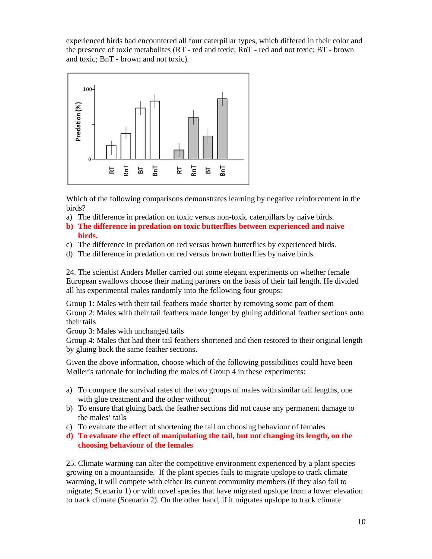experienced birds had encountered all four caterpillar types, which differed in their color and the presence of toxic metabolites (RT - red and toxic; RnT - red and not toxic; BT - brown and toxic; BnT - brown and not toxic).



Which of the following comparisons demonstrates learning by negative reinforcement in the birds?

- a) The difference in predation on toxic versus non-toxic caterpillars by naive birds.
- **b) The difference in predation on toxic butterflies between experienced and naive birds.**
- c) The difference in predation on red versus brown butterflies by experienced birds.
- d) The difference in predation on red versus brown butterflies by naive birds.

24. The scientist Anders Møller carried out some elegant experiments on whether female European swallows choose their mating partners on the basis of their tail length. He divided all his experimental males randomly into the following four groups:

Group 1: Males with their tail feathers made shorter by removing some part of them Group 2: Males with their tail feathers made longer by gluing additional feather sections onto their tails

Group 3: Males with unchanged tails

Group 4: Males that had their tail feathers shortened and then restored to their original length by gluing back the same feather sections.

Given the above information, choose which of the following possibilities could have been Møller's rationale for including the males of Group 4 in these experiments:

- a) To compare the survival rates of the two groups of males with similar tail lengths, one with glue treatment and the other without
- b) To ensure that gluing back the feather sections did not cause any permanent damage to the males' tails
- c) To evaluate the effect of shortening the tail on choosing behaviour of females
- **d) To evaluate the effect of manipulating the tail, but not changing its length, on the choosing behaviour of the females**

25. Climate warming can alter the competitive environment experienced by a plant species growing on a mountainside. If the plant species fails to migrate upslope to track climate warming, it will compete with either its current community members (if they also fail to migrate; Scenario 1) or with novel species that have migrated upslope from a lower elevation to track climate (Scenario 2). On the other hand, if it migrates upslope to track climate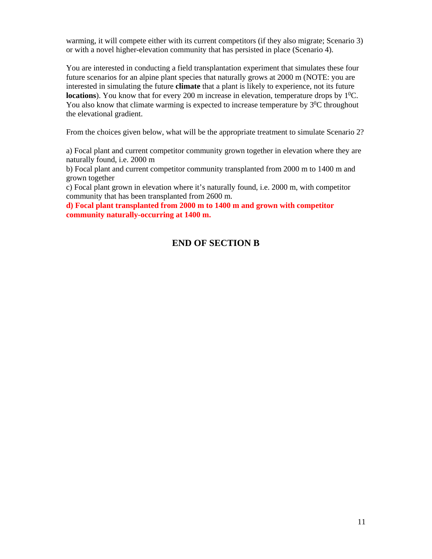warming, it will compete either with its current competitors (if they also migrate; Scenario 3) or with a novel higher-elevation community that has persisted in place (Scenario 4).

You are interested in conducting a field transplantation experiment that simulates these four future scenarios for an alpine plant species that naturally grows at 2000 m (NOTE: you are interested in simulating the future **climate** that a plant is likely to experience, not its future **locations**). You know that for every 200 m increase in elevation, temperature drops by  $1^0C$ . You also know that climate warming is expected to increase temperature by  $3^{0}C$  throughout the elevational gradient.

From the choices given below, what will be the appropriate treatment to simulate Scenario 2?

a) Focal plant and current competitor community grown together in elevation where they are naturally found, i.e. 2000 m

b) Focal plant and current competitor community transplanted from 2000 m to 1400 m and grown together

c) Focal plant grown in elevation where it's naturally found, i.e. 2000 m, with competitor community that has been transplanted from 2600 m.

**d) Focal plant transplanted from 2000 m to 1400 m and grown with competitor community naturally-occurring at 1400 m.** 

# **END OF SECTION B**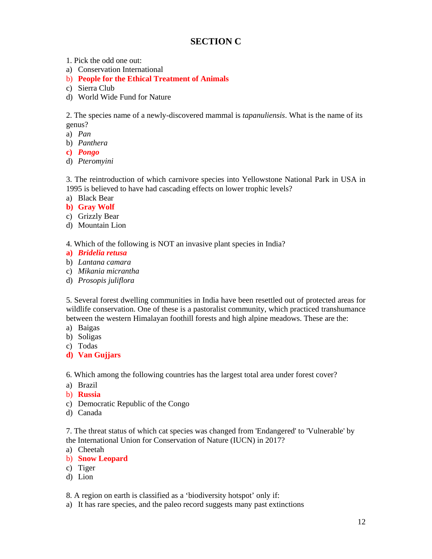# **SECTION C**

- 1. Pick the odd one out:
- a) Conservation International
- b) **People for the Ethical Treatment of Animals**
- c) Sierra Club
- d) World Wide Fund for Nature

2. The species name of a newly-discovered mammal is *tapanuliensis*. What is the name of its genus?

a) *Pan*

- b) *Panthera*
- **c)** *Pongo*
- d) *Pteromyini*

3. The reintroduction of which carnivore species into Yellowstone National Park in USA in 1995 is believed to have had cascading effects on lower trophic levels?

- a) Black Bear
- **b) Gray Wolf**
- c) Grizzly Bear
- d) Mountain Lion
- 4. Which of the following is NOT an invasive plant species in India?
- **a)** *Bridelia retusa*
- b) *Lantana camara*
- c) *Mikania micrantha*
- d) *Prosopis juliflora*

5. Several forest dwelling communities in India have been resettled out of protected areas for wildlife conservation. One of these is a pastoralist community, which practiced transhumance between the western Himalayan foothill forests and high alpine meadows. These are the:

- a) Baigas
- b) Soligas
- c) Todas
- **d) Van Gujjars**

6. Which among the following countries has the largest total area under forest cover?

- a) Brazil
- b) **Russia**
- c) Democratic Republic of the Congo
- d) Canada

7. The threat status of which cat species was changed from 'Endangered' to 'Vulnerable' by the International Union for Conservation of Nature (IUCN) in 2017?

- a) Cheetah
- b) **Snow Leopard**
- c) Tiger
- d) Lion

8. A region on earth is classified as a 'biodiversity hotspot' only if:

a) It has rare species, and the paleo record suggests many past extinctions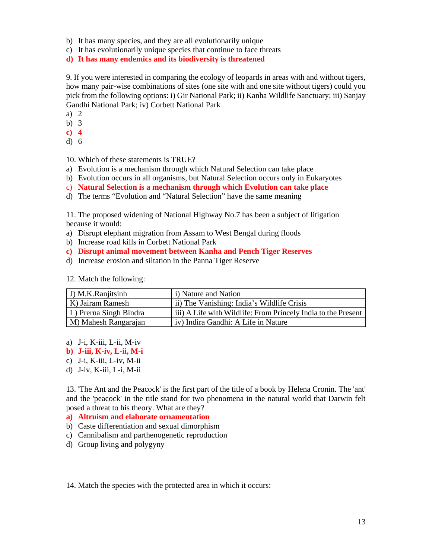- b) It has many species, and they are all evolutionarily unique
- c) It has evolutionarily unique species that continue to face threats

**d) It has many endemics and its biodiversity is threatened** 

9. If you were interested in comparing the ecology of leopards in areas with and without tigers, how many pair-wise combinations of sites (one site with and one site without tigers) could you pick from the following options: i) Gir National Park; ii) Kanha Wildlife Sanctuary; iii) Sanjay Gandhi National Park; iv) Corbett National Park

- a) 2
- b) 3
- **c) 4**
- d) 6

10. Which of these statements is TRUE?

- a) Evolution is a mechanism through which Natural Selection can take place
- b) Evolution occurs in all organisms, but Natural Selection occurs only in Eukaryotes
- c) **Natural Selection is a mechanism through which Evolution can take place**
- d) The terms "Evolution and "Natural Selection" have the same meaning

11. The proposed widening of National Highway No.7 has been a subject of litigation because it would:

- a) Disrupt elephant migration from Assam to West Bengal during floods
- b) Increase road kills in Corbett National Park
- **c) Disrupt animal movement between Kanha and Pench Tiger Reserves**
- d) Increase erosion and siltation in the Panna Tiger Reserve

|  | 12. Match the following: |  |  |  |
|--|--------------------------|--|--|--|
|--|--------------------------|--|--|--|

| J) M.K.Ranjitsinh       | <i>i</i> ) Nature and Nation                                  |
|-------------------------|---------------------------------------------------------------|
| K) Jairam Ramesh        | ii) The Vanishing: India's Wildlife Crisis                    |
| L.) Prerna Singh Bindra | iii) A Life with Wildlife: From Princely India to the Present |
| M) Mahesh Rangarajan    | iv) Indira Gandhi: A Life in Nature                           |

a) J-i, K-iii, L-ii, M-iv

**b) J-iii, K-iv, L-ii, M-i** 

- c) J-i, K-iii, L-iv, M-ii
- d) J-iv, K-iii, L-i, M-ii

13. 'The Ant and the Peacock' is the first part of the title of a book by Helena Cronin. The 'ant' and the 'peacock' in the title stand for two phenomena in the natural world that Darwin felt posed a threat to his theory. What are they?

#### **a) Altruism and elaborate ornamentation**

- b) Caste differentiation and sexual dimorphism
- c) Cannibalism and parthenogenetic reproduction
- d) Group living and polygyny

14. Match the species with the protected area in which it occurs: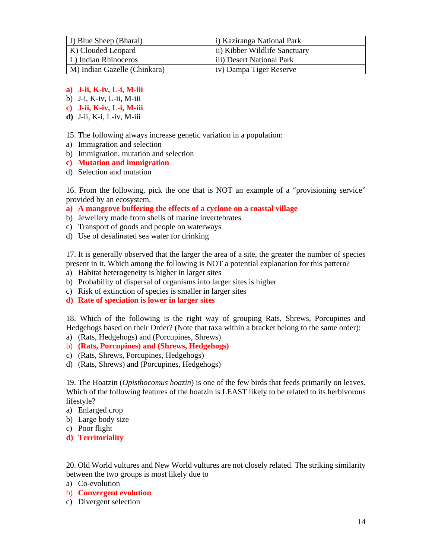| J) Blue Sheep (Bharal)       | i) Kaziranga National Park    |
|------------------------------|-------------------------------|
| K) Clouded Leopard           | ii) Kibber Wildlife Sanctuary |
| L.) Indian Rhinoceros        | iii) Desert National Park     |
| M) Indian Gazelle (Chinkara) | iv) Dampa Tiger Reserve       |

- **a) J-ii, K-iv, L-i, M-iii**
- b) J-i, K-iv, L-ii, M-iii
- **c) J-ii, K-iv, L-i, M-iii**
- **d)** J-ii, K-i, L-iv, M-iii

15. The following always increase genetic variation in a population:

- a) Immigration and selection
- b) Immigration, mutation and selection
- **c) Mutation and immigration**
- d) Selection and mutation

16. From the following, pick the one that is NOT an example of a "provisioning service" provided by an ecosystem.

- **a) A mangrove buffering the effects of a cyclone on a coastal village**
- b) Jewellery made from shells of marine invertebrates
- c) Transport of goods and people on waterways
- d) Use of desalinated sea water for drinking

17. It is generally observed that the larger the area of a site, the greater the number of species present in it. Which among the following is NOT a potential explanation for this pattern?

- a) Habitat heterogeneity is higher in larger sites
- b) Probability of dispersal of organisms into larger sites is higher
- c) Risk of extinction of species is smaller in larger sites
- **d) Rate of speciation is lower in larger sites**

18. Which of the following is the right way of grouping Rats, Shrews, Porcupines and Hedgehogs based on their Order? (Note that taxa within a bracket belong to the same order):

- a) (Rats, Hedgehogs) and (Porcupines, Shrews)
- b) **(Rats, Porcupines) and (Shrews, Hedgehogs)**
- c) (Rats, Shrews, Porcupines, Hedgehogs)
- d) (Rats, Shrews) and (Porcupines, Hedgehogs)

19. The Hoatzin (*Opisthocomus hoazin*) is one of the few birds that feeds primarily on leaves. Which of the following features of the hoatzin is LEAST likely to be related to its herbivorous lifestyle?

- a) Enlarged crop
- b) Large body size
- c) Poor flight
- **d) Territoriality**

20. Old World vultures and New World vultures are not closely related. The striking similarity between the two groups is most likely due to

- a) Co-evolution
- b) **Convergent evolution**
- c) Divergent selection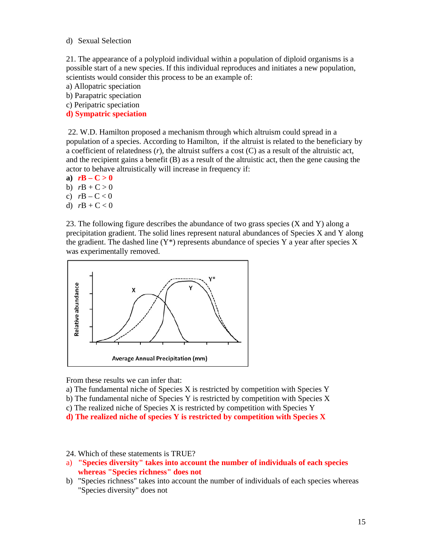d) Sexual Selection

21. The appearance of a polyploid individual within a population of diploid organisms is a possible start of a new species. If this individual reproduces and initiates a new population, scientists would consider this process to be an example of:

a) Allopatric speciation

b) Parapatric speciation

c) Peripatric speciation

**d) Sympatric speciation**

 22. W.D. Hamilton proposed a mechanism through which altruism could spread in a population of a species. According to Hamilton, if the altruist is related to the beneficiary by a coefficient of relatedness (*r*), the altruist suffers a cost (C) as a result of the altruistic act, and the recipient gains a benefit (B) as a result of the altruistic act, then the gene causing the actor to behave altruistically will increase in frequency if:

a)  $r\mathbf{B} - \mathbf{C} > 0$ 

- b)  $rB + C > 0$
- c)  $rB C < 0$
- d) *r*B + C < 0

23. The following figure describes the abundance of two grass species (X and Y) along a precipitation gradient. The solid lines represent natural abundances of Species X and Y along the gradient. The dashed line  $(Y^*)$  represents abundance of species Y a year after species X was experimentally removed.



From these results we can infer that:

- a) The fundamental niche of Species X is restricted by competition with Species Y
- b) The fundamental niche of Species Y is restricted by competition with Species X
- c) The realized niche of Species X is restricted by competition with Species Y
- **d) The realized niche of species Y is restricted by competition with Species X**
- 24. Which of these statements is TRUE?
- a) **"Species diversity" takes into account the number of individuals of each species whereas "Species richness" does not**
- b) "Species richness" takes into account the number of individuals of each species whereas "Species diversity" does not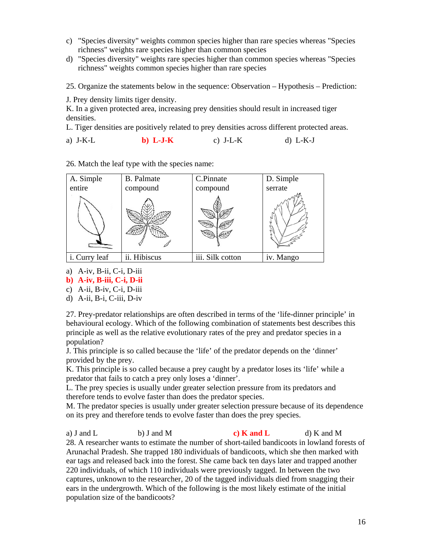- c) "Species diversity" weights common species higher than rare species whereas "Species richness" weights rare species higher than common species
- d) "Species diversity" weights rare species higher than common species whereas "Species richness" weights common species higher than rare species

25. Organize the statements below in the sequence: Observation – Hypothesis – Prediction:

J. Prey density limits tiger density.

K. In a given protected area, increasing prey densities should result in increased tiger densities.

L. Tiger densities are positively related to prey densities across different protected areas.

a) J-K-L **b) L-J-K** c) J-L-K d) L-K-J

26. Match the leaf type with the species name:



- a) A-iv, B-ii, C-i, D-iii
- **b) A-iv, B-iii, C-i, D-ii**
- c) A-ii, B-iv, C-i, D-iii
- d) A-ii, B-i, C-iii, D-iv

27. Prey-predator relationships are often described in terms of the 'life-dinner principle' in behavioural ecology. Which of the following combination of statements best describes this principle as well as the relative evolutionary rates of the prey and predator species in a population?

J. This principle is so called because the 'life' of the predator depends on the 'dinner' provided by the prey.

K. This principle is so called because a prey caught by a predator loses its 'life' while a predator that fails to catch a prey only loses a 'dinner'.

L. The prey species is usually under greater selection pressure from its predators and therefore tends to evolve faster than does the predator species.

M. The predator species is usually under greater selection pressure because of its dependence on its prey and therefore tends to evolve faster than does the prey species.

a) J and L b) J and M **c) K** and L d) K and M 28. A researcher wants to estimate the number of short-tailed bandicoots in lowland forests of Arunachal Pradesh. She trapped 180 individuals of bandicoots, which she then marked with ear tags and released back into the forest. She came back ten days later and trapped another 220 individuals, of which 110 individuals were previously tagged. In between the two captures, unknown to the researcher, 20 of the tagged individuals died from snagging their ears in the undergrowth. Which of the following is the most likely estimate of the initial population size of the bandicoots?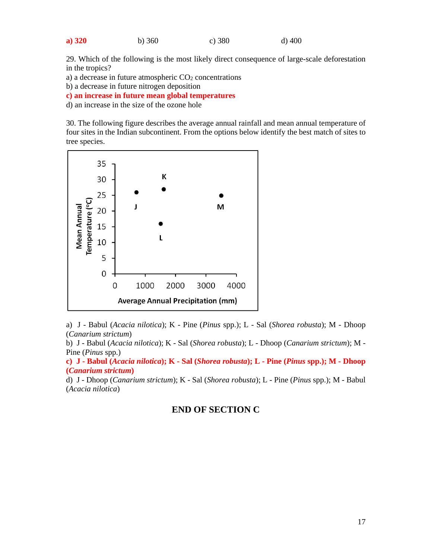| a) 320 | b) $360$ | c) 380 | $d)$ 400 |
|--------|----------|--------|----------|
|        |          |        |          |

29. Which of the following is the most likely direct consequence of large-scale deforestation in the tropics?

a) a decrease in future atmospheric CO2 concentrations

b) a decrease in future nitrogen deposition

**c) an increase in future mean global temperatures** 

d) an increase in the size of the ozone hole

30. The following figure describes the average annual rainfall and mean annual temperature of four sites in the Indian subcontinent. From the options below identify the best match of sites to tree species.



a) J - Babul (*Acacia nilotica*); K - Pine (*Pinus* spp.); L - Sal (*Shorea robusta*); M - Dhoop (*Canarium strictum*)

b) J - Babul (*Acacia nilotica*); K - Sal (*Shorea robusta*); L - Dhoop (*Canarium strictum*); M - Pine (*Pinus* spp.)

**c) J - Babul (***Acacia nilotica***); K - Sal (***Shorea robusta***); L - Pine (***Pinus* **spp.); M - Dhoop (***Canarium strictum***)** 

d) J - Dhoop (*Canarium strictum*); K - Sal (*Shorea robusta*); L - Pine (*Pinus* spp.); M - Babul (*Acacia nilotica*)

## **END OF SECTION C**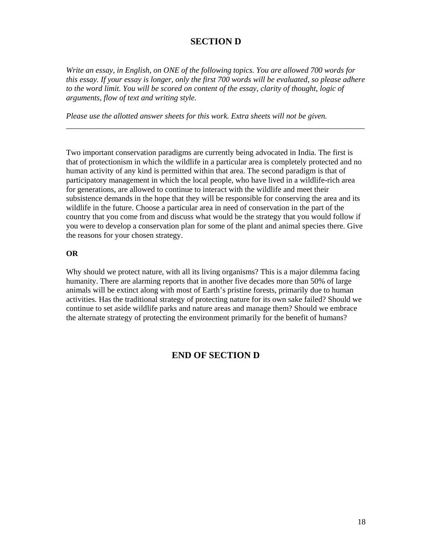# **SECTION D**

*Write an essay, in English, on ONE of the following topics. You are allowed 700 words for this essay. If your essay is longer, only the first 700 words will be evaluated, so please adhere to the word limit. You will be scored on content of the essay, clarity of thought, logic of arguments, flow of text and writing style.* 

*\_\_\_\_\_\_\_\_\_\_\_\_\_\_\_\_\_\_\_\_\_\_\_\_\_\_\_\_\_\_\_\_\_\_\_\_\_\_\_\_\_\_\_\_\_\_\_\_\_\_\_\_\_\_\_\_\_\_\_\_\_\_\_\_\_\_\_\_\_\_\_\_\_\_\_* 

*Please use the allotted answer sheets for this work. Extra sheets will not be given.* 

Two important conservation paradigms are currently being advocated in India. The first is that of protectionism in which the wildlife in a particular area is completely protected and no human activity of any kind is permitted within that area. The second paradigm is that of participatory management in which the local people, who have lived in a wildlife-rich area for generations, are allowed to continue to interact with the wildlife and meet their subsistence demands in the hope that they will be responsible for conserving the area and its wildlife in the future. Choose a particular area in need of conservation in the part of the country that you come from and discuss what would be the strategy that you would follow if you were to develop a conservation plan for some of the plant and animal species there. Give the reasons for your chosen strategy.

#### **OR**

Why should we protect nature, with all its living organisms? This is a major dilemma facing humanity. There are alarming reports that in another five decades more than 50% of large animals will be extinct along with most of Earth's pristine forests, primarily due to human activities. Has the traditional strategy of protecting nature for its own sake failed? Should we continue to set aside wildlife parks and nature areas and manage them? Should we embrace the alternate strategy of protecting the environment primarily for the benefit of humans?

## **END OF SECTION D**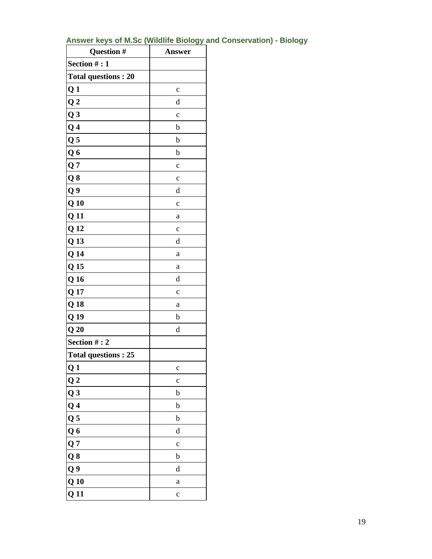| Question #                 | Answer       |
|----------------------------|--------------|
| Section #: 1               |              |
| <b>Total questions: 20</b> |              |
| Q <sub>1</sub>             | $\mathbf c$  |
| Q <sub>2</sub>             | d            |
| $Q_3$                      | $\mathbf{C}$ |
| Q <sub>4</sub>             | $\mathbf b$  |
| Q <sub>5</sub>             | $\mathbf b$  |
| Q6                         | $\mathbf b$  |
| Q <sub>7</sub>             | $\mathbf{C}$ |
| Q8                         | $\mathbf{C}$ |
| Q <sub>9</sub>             | d            |
| $Q_1$                      | $\mathbf{C}$ |
| Q <sub>11</sub>            | a            |
| Q <sub>12</sub>            | $\mathbf{C}$ |
| Q 13                       | $\mathbf d$  |
| Q <sub>14</sub>            | a            |
| Q <sub>15</sub>            | a            |
| Q <sub>16</sub>            | d            |
| Q 17                       | $\mathbf c$  |
| Q <sub>18</sub>            | a            |
| Q <sub>19</sub>            | $\mathbf b$  |
| Q20                        | d            |
| Section #: 2               |              |
| <b>Total questions: 25</b> |              |
| Q <sub>1</sub>             | $\mathbf c$  |
| Q <sub>2</sub>             | $\mathbf c$  |
| Q <sub>3</sub>             | b            |
| Q <sub>4</sub>             | b            |
| Q <sub>5</sub>             | b            |
| Q <sub>6</sub>             | d            |
| Q <sub>7</sub>             | $\mathbf c$  |
| Q8                         | b            |
| Q9                         | d            |
| $Q_1$                      | $\mathbf a$  |
| Q <sub>11</sub>            | $\mathbf c$  |

# **Answer keys of M.Sc (Wildlife Biology and Conservation) - Biology**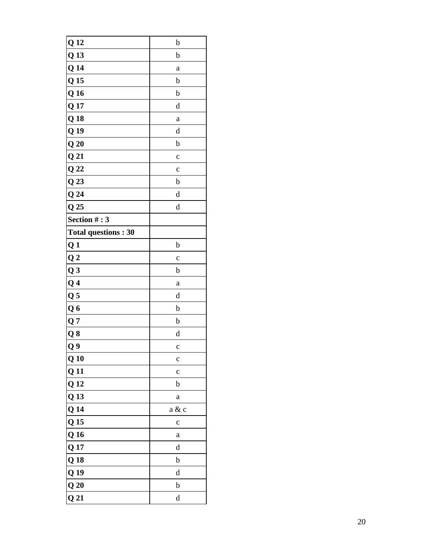| Q <sub>12</sub>            | b            |
|----------------------------|--------------|
| Q <sub>13</sub>            | b            |
| Q <sub>14</sub>            | a            |
| Q <sub>15</sub>            | b            |
| Q <sub>16</sub>            | b            |
| Q <sub>17</sub>            | d            |
| Q <sub>18</sub>            | a            |
| Q <sub>19</sub>            | d            |
| Q20                        | b            |
| Q <sub>21</sub>            | $\mathbf{C}$ |
| Q <sub>22</sub>            | $\mathbf{C}$ |
| Q <sub>23</sub>            | b            |
| Q24                        | d            |
| Q <sub>25</sub>            | d            |
| Section #: 3               |              |
| <b>Total questions: 30</b> |              |
| Q <sub>1</sub>             | b            |
| Q <sub>2</sub>             | $\mathbf c$  |
| Q <sub>3</sub>             | b            |
| Q <sub>4</sub>             | a            |
| Q <sub>5</sub>             | d            |
| Q <sub>6</sub>             | b            |
| Q <sub>7</sub>             | b            |
| Q8                         | d            |
| Q9                         | $\mathbf C$  |
| Q <sub>10</sub>            | $\mathbf c$  |
| Q <sub>11</sub>            | $\mathbf c$  |
| Q <sub>12</sub>            | b            |
| Q <sub>13</sub>            | $\mathbf{a}$ |
| Q <sub>14</sub>            | a & c        |
| Q <sub>15</sub>            | $\mathbf c$  |
| Q <sub>16</sub>            | $\mathbf{a}$ |
| Q <sub>17</sub>            | d            |
| Q <sub>18</sub>            | b            |
| Q <sub>19</sub>            | d            |
| Q20                        | b            |
| Q <sub>21</sub>            | d            |